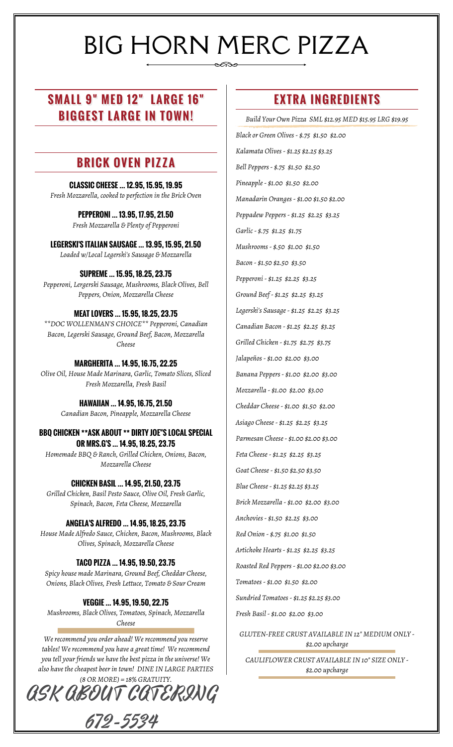# BIG HORN MERC PIZZA

# **SMALL 9" MED 12" LARGE 16" BIGGEST LARGE IN TOWN!**

## **BRICK OVEN PIZZA**

**CLASSIC CHEESE … 12.95, 15.95, 19.95** *Fresh Mozzarella, cooked to perfection in the Brick Oven*

> **PEPPERONI … 13.95, 17.95, 21.50** *Fresh Mozzarella & Plenty of Pepperoni*

**LEGERSKI'S ITALIAN SAUSAGE … 13.95, 15.95, 21.50** *Loaded w/Local Legerski's Sausage & Mozzarella*

**SUPREME … 15.95, 18.25, 23.75** *Pepperoni, Lergerski Sausage, Mushrooms, Black Olives, Bell Peppers, Onion, Mozzarella Cheese*

#### **MEAT LOVERS … 15.95, 18.25, 23.75**

*\*\*DOC WOLLENMAN'S CHOICE\*\* Pepperoni, Canadian Bacon, Legerski Sausage, Ground Beef, Bacon, Mozzarella Cheese*

**MARGHERITA … 14.95, 16.75, 22.25** *Olive Oil, House Made Marinara, Garlic, Tomato Slices, Sliced Fresh Mozzarella, Fresh Basil*

> **HAWAIIAN … 14.95, 16.75, 21.50** *Canadian Bacon, Pineapple, Mozzarella Cheese*

**BBQ CHICKEN \*\*ASK ABOUT \*\* DIRTY JOE"S LOCAL SPECIAL OR MRS.G'S … 14.95, 18.25, 23.75** *Homemade BBQ & Ranch, Grilled Chicken, Onions, Bacon, Mozzarella Cheese*

**CHICKEN BASIL … 14.95, 21.50, 23.75** *Grilled Chicken, Basil Pesto Sauce, Olive Oil, Fresh Garlic, Spinach, Bacon, Feta Cheese, Mozzarella*

#### **ANGELA'S ALFREDO … 14.95, 18.25, 23.75**

*House Made Alfredo Sauce, Chicken, Bacon, Mushrooms, Black Olives, Spinach, Mozzarella Cheese*

#### **TACO PIZZA … 14.95, 19.50, 23.75**

*Spicy house made Marinara, Ground Beef, Cheddar Cheese, Onions, Black Olives, Fresh Lettuce, Tomato & Sour Cream*

#### **VEGGIE … 14.95, 19.50, 22.75**

*Mushrooms, Black Olives, Tomatoes, Spinach, Mozzarella Cheese*

*We recommend you order ahead! We recommend you reserve tables! We recommend you have a great time! We recommend you tell your friends we have the best pizza in the universe! We also have the cheapest beer in town! DINE IN LARGE PARTIES*



## **EXTRA INGREDIENTS**

*Build Your Own Pizza SML \$12.95 MED \$15.95 LRG \$19.95*

*Black or Green Olives - \$.75 \$1.50 \$2.00 Kalamata Olives - \$1.25 \$2.25 \$3.25 Bell Peppers - \$.75 \$1.50 \$2.50 Pineapple - \$1.00 \$1.50 \$2.00 Manadarin Oranges - \$1.00 \$1.50 \$2.00 Peppadew Peppers - \$1.25 \$2.25 \$3.25 Garlic - \$.75 \$1.25 \$1.75 Mushrooms - \$.50 \$1.00 \$1.50 Bacon - \$1.50 \$2.50 \$3.50 Pepperoni - \$1.25 \$2.25 \$3.25 Ground Beef - \$1.25 \$2.25 \$3.25 Legerski's Sausage - \$1.25 \$2.25 \$3.25 Canadian Bacon - \$1.25 \$2.25 \$3.25 Grilled Chicken - \$1.75 \$2.75 \$3.75 Jalapeños - \$1.00 \$2.00 \$3.00 Banana Peppers - \$1.00 \$2.00 \$3.00 Mozzarella - \$1.00 \$2.00 \$3.00 Cheddar Cheese - \$1.00 \$1.50 \$2.00 Asiago Cheese - \$1.25 \$2.25 \$3.25 Parmesan Cheese - \$1.00 \$2.00 \$3.00 Feta Cheese - \$1.25 \$2.25 \$3.25 Goat Cheese - \$1.50 \$2.50 \$3.50 Blue Cheese - \$1.25 \$2.25 \$3.25 Brick Mozzarella - \$1.00 \$2.00 \$3.00 Anchovies - \$1.50 \$2.25 \$3.00 Red Onion - \$.75 \$1.00 \$1.50 Artichoke Hearts - \$1.25 \$2.25 \$3.25 Roasted Red Peppers - \$1.00 \$2.00 \$3.00 Tomatoes - \$1.00 \$1.50 \$2.00 Sundried Tomatoes - \$1.25 \$2.25 \$3.00 Fresh Basil - \$1.00 \$2.00 \$3.00 GLUTEN-FREE CRUST AVAILABLE IN 12" MEDIUM ONLY - \$2.00 upcharge*

*CAULIFLOWER CRUST AVAILABLE IN 10" SIZE ONLY - \$2.00 upcharge*